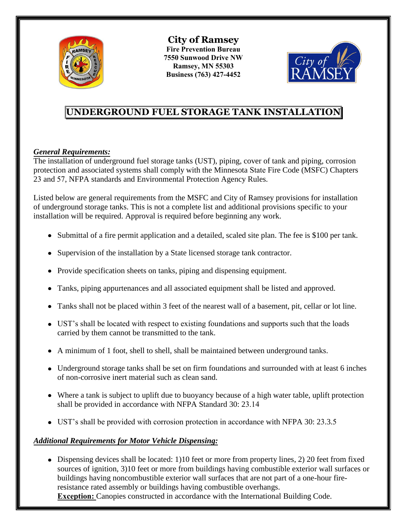

**City of Ramsey Fire Prevention Bureau 7550 Sunwood Drive NW Ramsey, MN 55303 Business (763) 427-4452** 



# **UNDERGROUND FUEL STORAGE TANK INSTALLATION**

## *General Requirements:*

The installation of underground fuel storage tanks (UST), piping, cover of tank and piping, corrosion protection and associated systems shall comply with the Minnesota State Fire Code (MSFC) Chapters 23 and 57, NFPA standards and Environmental Protection Agency Rules.

Listed below are general requirements from the MSFC and City of Ramsey provisions for installation of underground storage tanks. This is not a complete list and additional provisions specific to your installation will be required. Approval is required before beginning any work.

- Submittal of a fire permit application and a detailed, scaled site plan. The fee is \$100 per tank.
- Supervision of the installation by a State licensed storage tank contractor.
- Provide specification sheets on tanks, piping and dispensing equipment.
- Tanks, piping appurtenances and all associated equipment shall be listed and approved.
- Tanks shall not be placed within 3 feet of the nearest wall of a basement, pit, cellar or lot line.
- UST's shall be located with respect to existing foundations and supports such that the loads carried by them cannot be transmitted to the tank.
- A minimum of 1 foot, shell to shell, shall be maintained between underground tanks.
- Underground storage tanks shall be set on firm foundations and surrounded with at least 6 inches of non-corrosive inert material such as clean sand.
- Where a tank is subject to uplift due to buoyancy because of a high water table, uplift protection shall be provided in accordance with NFPA Standard 30: 23.14
- UST's shall be provided with corrosion protection in accordance with NFPA 30: 23.3.5

### *Additional Requirements for Motor Vehicle Dispensing:*

• Dispensing devices shall be located: 1)10 feet or more from property lines, 2) 20 feet from fixed sources of ignition, 3)10 feet or more from buildings having combustible exterior wall surfaces or buildings having noncombustible exterior wall surfaces that are not part of a one-hour fireresistance rated assembly or buildings having combustible overhangs. **Exception:** Canopies constructed in accordance with the International Building Code.